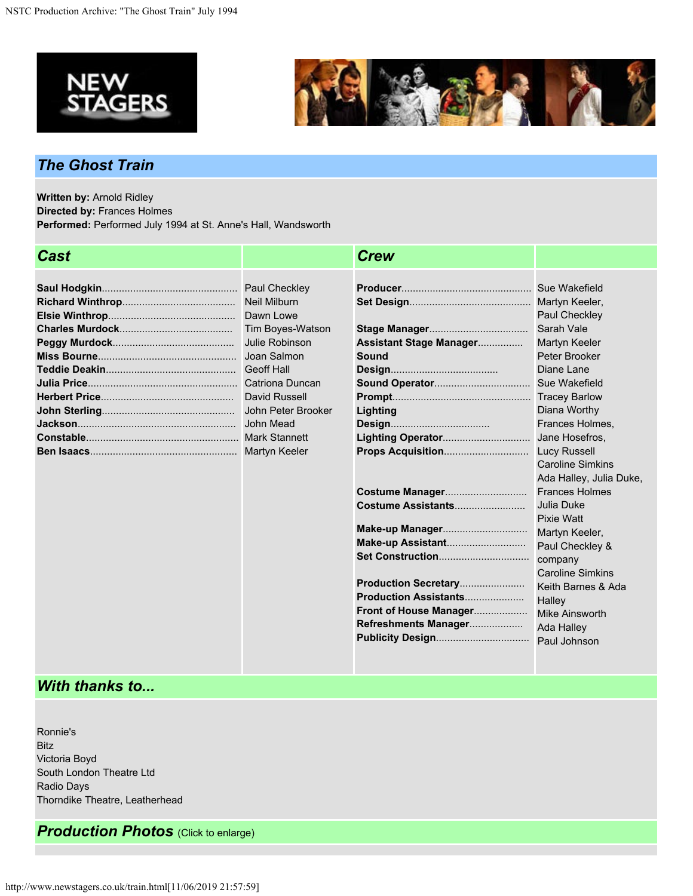



## *The Ghost Train*

**Written by:** Arnold Ridley **Directed by:** Frances Holmes **Performed:** Performed July 1994 at St. Anne's Hall, Wandsworth

| Cast |                                                                                                             | <b>Crew</b>                                                                                                                                                 |                                                                                                                                                                                                                                       |
|------|-------------------------------------------------------------------------------------------------------------|-------------------------------------------------------------------------------------------------------------------------------------------------------------|---------------------------------------------------------------------------------------------------------------------------------------------------------------------------------------------------------------------------------------|
|      | <b>Neil Milburn</b><br>Dawn Lowe<br>Tim Boyes-Watson<br>Julie Robinson<br>Joan Salmon<br>John Peter Brooker | Assistant Stage Manager<br>Sound<br>Lighting                                                                                                                | Paul Checkley<br>Sarah Vale<br>Martyn Keeler<br>Peter Brooker<br>Diane Lane<br>Diana Worthy<br>Frances Holmes,<br>Jane Hosefros.<br><b>Caroline Simkins</b>                                                                           |
|      |                                                                                                             | Costume Manager<br>Costume Assistants<br>Make-up Manager<br>Production Secretary<br>Production Assistants<br>Front of House Manager<br>Refreshments Manager | Ada Halley, Julia Duke,<br><b>Frances Holmes</b><br>Julia Duke<br><b>Pixie Watt</b><br>Martyn Keeler,<br>Paul Checkley &<br>company<br><b>Caroline Simkins</b><br>Keith Barnes & Ada<br>Halley<br><b>Mike Ainsworth</b><br>Ada Halley |

## *With thanks to...*

Ronnie's Bitz Victoria Boyd South London Theatre Ltd Radio Days Thorndike Theatre, Leatherhead

*Production Photos* (Click to enlarge)